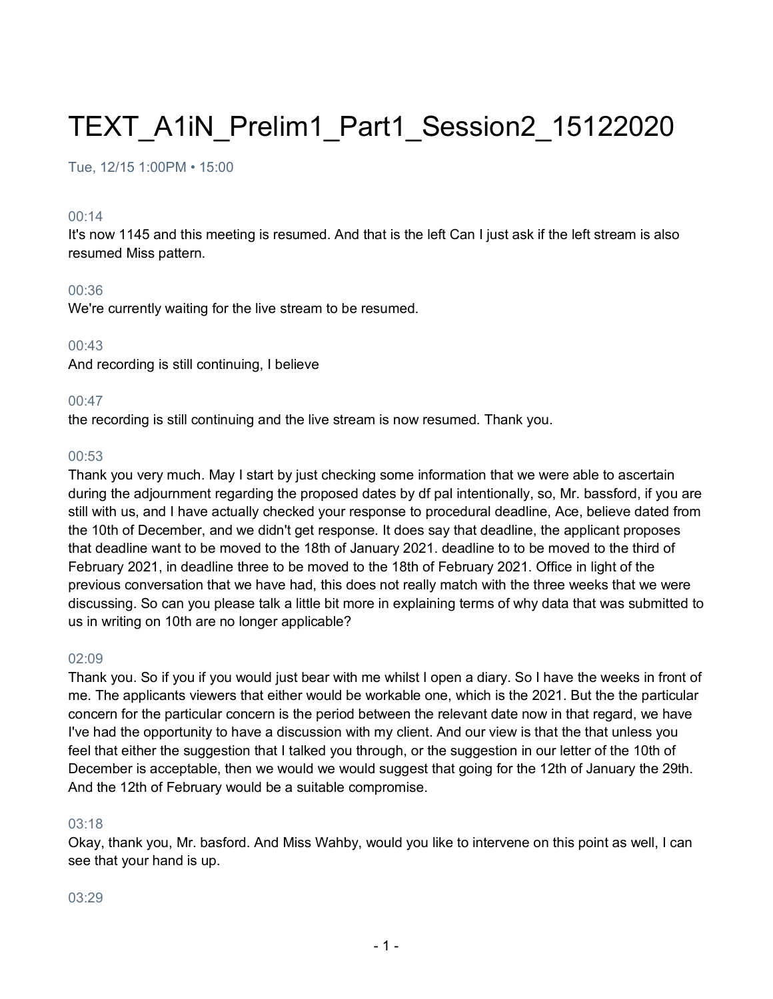# TEXT\_A1iN\_Prelim1\_Part1\_Session2\_15122020

Tue, 12/15 1:00PM • 15:00

#### 00:14

It's now 1145 and this meeting is resumed. And that is the left Can I just ask if the left stream is also resumed Miss pattern.

#### 00:36

We're currently waiting for the live stream to be resumed.

#### 00:43

And recording is still continuing, I believe

#### 00:47

the recording is still continuing and the live stream is now resumed. Thank you.

#### 00:53

Thank you very much. May I start by just checking some information that we were able to ascertain during the adjournment regarding the proposed dates by df pal intentionally, so, Mr. bassford, if you are still with us, and I have actually checked your response to procedural deadline, Ace, believe dated from the 10th of December, and we didn't get response. It does say that deadline, the applicant proposes that deadline want to be moved to the 18th of January 2021. deadline to to be moved to the third of February 2021, in deadline three to be moved to the 18th of February 2021. Office in light of the previous conversation that we have had, this does not really match with the three weeks that we were discussing. So can you please talk a little bit more in explaining terms of why data that was submitted to us in writing on 10th are no longer applicable?

#### 02:09

Thank you. So if you if you would just bear with me whilst I open a diary. So I have the weeks in front of me. The applicants viewers that either would be workable one, which is the 2021. But the the particular concern for the particular concern is the period between the relevant date now in that regard, we have I've had the opportunity to have a discussion with my client. And our view is that the that unless you feel that either the suggestion that I talked you through, or the suggestion in our letter of the 10th of December is acceptable, then we would we would suggest that going for the 12th of January the 29th. And the 12th of February would be a suitable compromise.

#### 03:18

Okay, thank you, Mr. basford. And Miss Wahby, would you like to intervene on this point as well, I can see that your hand is up.

#### 03:29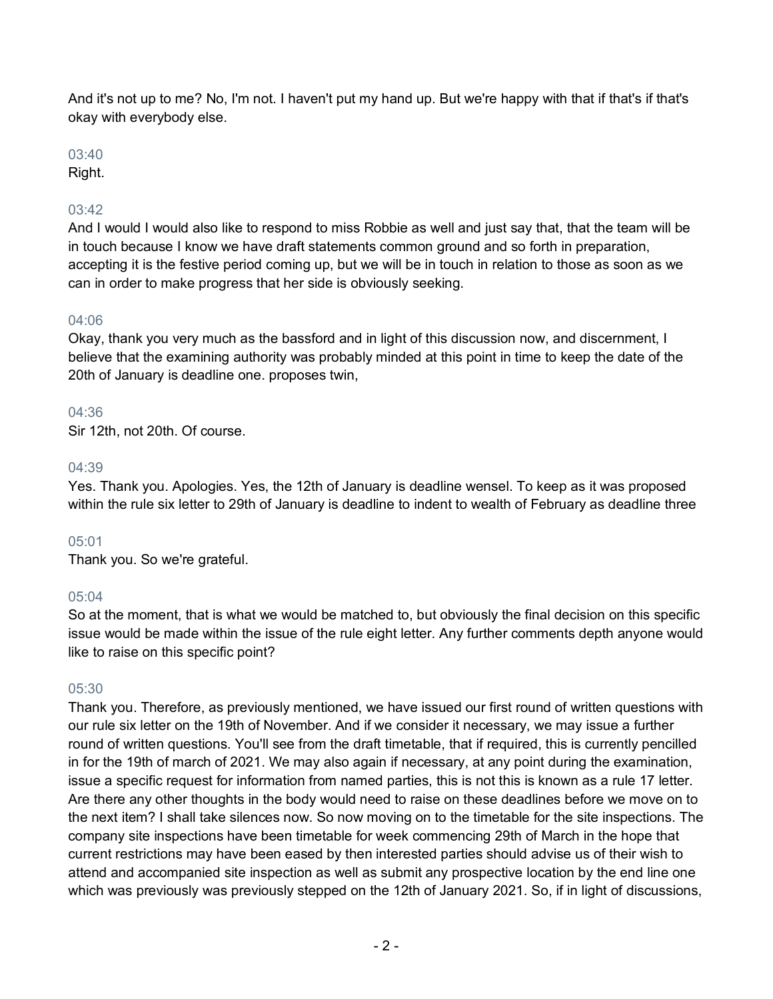And it's not up to me? No, I'm not. I haven't put my hand up. But we're happy with that if that's if that's okay with everybody else.

## 03:40

Right.

# 03:42

And I would I would also like to respond to miss Robbie as well and just say that, that the team will be in touch because I know we have draft statements common ground and so forth in preparation, accepting it is the festive period coming up, but we will be in touch in relation to those as soon as we can in order to make progress that her side is obviously seeking.

## 04:06

Okay, thank you very much as the bassford and in light of this discussion now, and discernment, I believe that the examining authority was probably minded at this point in time to keep the date of the 20th of January is deadline one. proposes twin,

## 04:36

Sir 12th, not 20th. Of course.

## 04:39

Yes. Thank you. Apologies. Yes, the 12th of January is deadline wensel. To keep as it was proposed within the rule six letter to 29th of January is deadline to indent to wealth of February as deadline three

## 05:01

Thank you. So we're grateful.

## 05:04

So at the moment, that is what we would be matched to, but obviously the final decision on this specific issue would be made within the issue of the rule eight letter. Any further comments depth anyone would like to raise on this specific point?

## 05:30

Thank you. Therefore, as previously mentioned, we have issued our first round of written questions with our rule six letter on the 19th of November. And if we consider it necessary, we may issue a further round of written questions. You'll see from the draft timetable, that if required, this is currently pencilled in for the 19th of march of 2021. We may also again if necessary, at any point during the examination, issue a specific request for information from named parties, this is not this is known as a rule 17 letter. Are there any other thoughts in the body would need to raise on these deadlines before we move on to the next item? I shall take silences now. So now moving on to the timetable for the site inspections. The company site inspections have been timetable for week commencing 29th of March in the hope that current restrictions may have been eased by then interested parties should advise us of their wish to attend and accompanied site inspection as well as submit any prospective location by the end line one which was previously was previously stepped on the 12th of January 2021. So, if in light of discussions,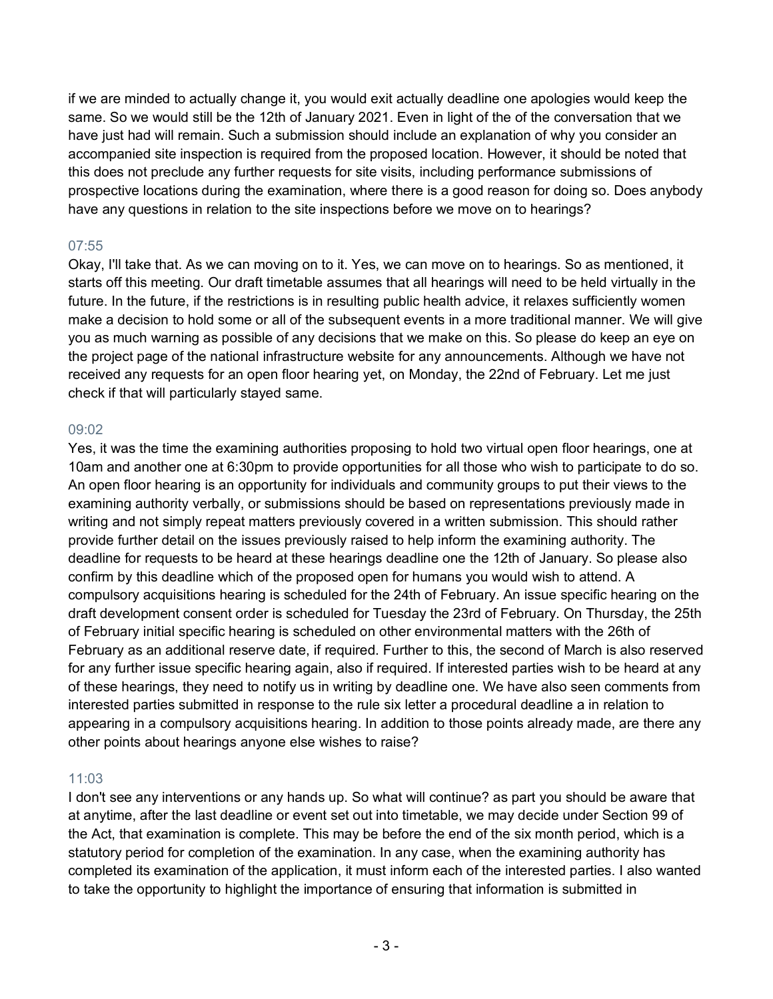if we are minded to actually change it, you would exit actually deadline one apologies would keep the same. So we would still be the 12th of January 2021. Even in light of the of the conversation that we have just had will remain. Such a submission should include an explanation of why you consider an accompanied site inspection is required from the proposed location. However, it should be noted that this does not preclude any further requests for site visits, including performance submissions of prospective locations during the examination, where there is a good reason for doing so. Does anybody have any questions in relation to the site inspections before we move on to hearings?

## 07:55

Okay, I'll take that. As we can moving on to it. Yes, we can move on to hearings. So as mentioned, it starts off this meeting. Our draft timetable assumes that all hearings will need to be held virtually in the future. In the future, if the restrictions is in resulting public health advice, it relaxes sufficiently women make a decision to hold some or all of the subsequent events in a more traditional manner. We will give you as much warning as possible of any decisions that we make on this. So please do keep an eye on the project page of the national infrastructure website for any announcements. Although we have not received any requests for an open floor hearing yet, on Monday, the 22nd of February. Let me just check if that will particularly stayed same.

## 09:02

Yes, it was the time the examining authorities proposing to hold two virtual open floor hearings, one at 10am and another one at 6:30pm to provide opportunities for all those who wish to participate to do so. An open floor hearing is an opportunity for individuals and community groups to put their views to the examining authority verbally, or submissions should be based on representations previously made in writing and not simply repeat matters previously covered in a written submission. This should rather provide further detail on the issues previously raised to help inform the examining authority. The deadline for requests to be heard at these hearings deadline one the 12th of January. So please also confirm by this deadline which of the proposed open for humans you would wish to attend. A compulsory acquisitions hearing is scheduled for the 24th of February. An issue specific hearing on the draft development consent order is scheduled for Tuesday the 23rd of February. On Thursday, the 25th of February initial specific hearing is scheduled on other environmental matters with the 26th of February as an additional reserve date, if required. Further to this, the second of March is also reserved for any further issue specific hearing again, also if required. If interested parties wish to be heard at any of these hearings, they need to notify us in writing by deadline one. We have also seen comments from interested parties submitted in response to the rule six letter a procedural deadline a in relation to appearing in a compulsory acquisitions hearing. In addition to those points already made, are there any other points about hearings anyone else wishes to raise?

## 11:03

I don't see any interventions or any hands up. So what will continue? as part you should be aware that at anytime, after the last deadline or event set out into timetable, we may decide under Section 99 of the Act, that examination is complete. This may be before the end of the six month period, which is a statutory period for completion of the examination. In any case, when the examining authority has completed its examination of the application, it must inform each of the interested parties. I also wanted to take the opportunity to highlight the importance of ensuring that information is submitted in